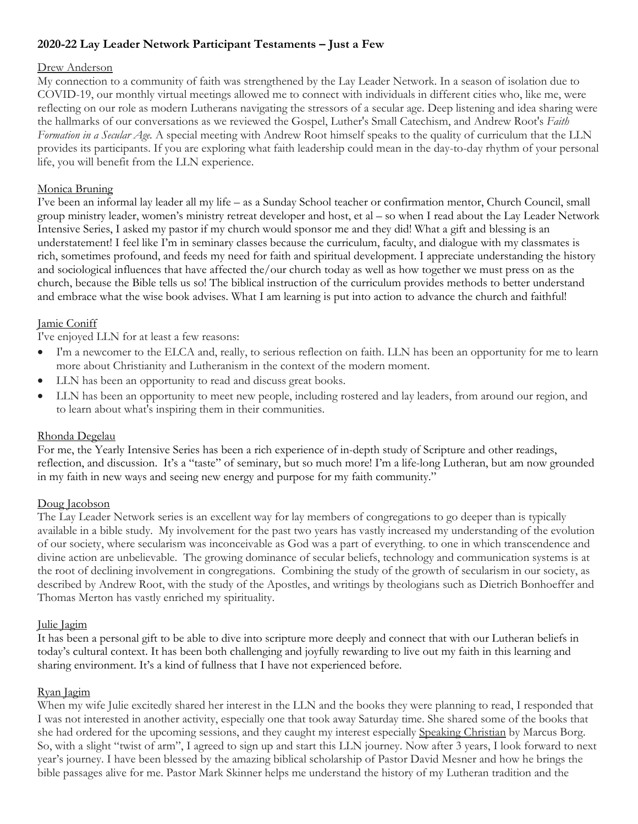# **2020-22 Lay Leader Network Participant Testaments – Just a Few**

### Drew Anderson

My connection to a community of faith was strengthened by the Lay Leader Network. In a season of isolation due to COVID-19, our monthly virtual meetings allowed me to connect with individuals in different cities who, like me, were reflecting on our role as modern Lutherans navigating the stressors of a secular age. Deep listening and idea sharing were the hallmarks of our conversations as we reviewed the Gospel, Luther's Small Catechism, and Andrew Root's *Faith Formation in a Secular Age.* A special meeting with Andrew Root himself speaks to the quality of curriculum that the LLN provides its participants. If you are exploring what faith leadership could mean in the day-to-day rhythm of your personal life, you will benefit from the LLN experience.

# Monica Bruning

I've been an informal lay leader all my life – as a Sunday School teacher or confirmation mentor, Church Council, small group ministry leader, women's ministry retreat developer and host, et al – so when I read about the Lay Leader Network Intensive Series, I asked my pastor if my church would sponsor me and they did! What a gift and blessing is an understatement! I feel like I'm in seminary classes because the curriculum, faculty, and dialogue with my classmates is rich, sometimes profound, and feeds my need for faith and spiritual development. I appreciate understanding the history and sociological influences that have affected the/our church today as well as how together we must press on as the church, because the Bible tells us so! The biblical instruction of the curriculum provides methods to better understand and embrace what the wise book advises. What I am learning is put into action to advance the church and faithful!

# Jamie Coniff

I've enjoyed LLN for at least a few reasons:

- I'm a newcomer to the ELCA and, really, to serious reflection on faith. LLN has been an opportunity for me to learn more about Christianity and Lutheranism in the context of the modern moment.
- LLN has been an opportunity to read and discuss great books.
- LLN has been an opportunity to meet new people, including rostered and lay leaders, from around our region, and to learn about what's inspiring them in their communities.

#### Rhonda Degelau

For me, the Yearly Intensive Series has been a rich experience of in-depth study of Scripture and other readings, reflection, and discussion. It's a "taste" of seminary, but so much more! I'm a life-long Lutheran, but am now grounded in my faith in new ways and seeing new energy and purpose for my faith community."

# Doug Jacobson

The Lay Leader Network series is an excellent way for lay members of congregations to go deeper than is typically available in a bible study. My involvement for the past two years has vastly increased my understanding of the evolution of our society, where secularism was inconceivable as God was a part of everything. to one in which transcendence and divine action are unbelievable. The growing dominance of secular beliefs, technology and communication systems is at the root of declining involvement in congregations. Combining the study of the growth of secularism in our society, as described by Andrew Root, with the study of the Apostles, and writings by theologians such as Dietrich Bonhoeffer and Thomas Merton has vastly enriched my spirituality.

# Julie Jagim

It has been a personal gift to be able to dive into scripture more deeply and connect that with our Lutheran beliefs in today's cultural context. It has been both challenging and joyfully rewarding to live out my faith in this learning and sharing environment. It's a kind of fullness that I have not experienced before.

# Ryan Jagim

When my wife Julie excitedly shared her interest in the LLN and the books they were planning to read, I responded that I was not interested in another activity, especially one that took away Saturday time. She shared some of the books that she had ordered for the upcoming sessions, and they caught my interest especially Speaking Christian by Marcus Borg. So, with a slight "twist of arm", I agreed to sign up and start this LLN journey. Now after 3 years, I look forward to next year's journey. I have been blessed by the amazing biblical scholarship of Pastor David Mesner and how he brings the bible passages alive for me. Pastor Mark Skinner helps me understand the history of my Lutheran tradition and the